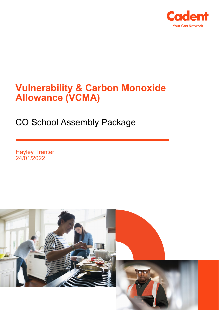

## **Vulnerability & Carbon Monoxide Allowance (VCMA)**

CO School Assembly Package

Hayley Tranter 24/01/2022

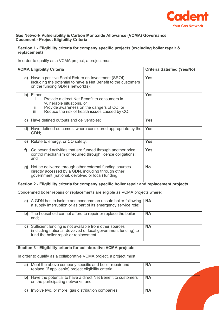

## **Gas Network Vulnerability & Carbon Monoxide Allowance (VCMA) Governance Document - Project Eligibility Criteria**

| Section 1 - Eligibility criteria for company specific projects (excluding boiler repair &<br>replacement) |                                                                                                                                                                                                              |            |  |
|-----------------------------------------------------------------------------------------------------------|--------------------------------------------------------------------------------------------------------------------------------------------------------------------------------------------------------------|------------|--|
| In order to qualify as a VCMA project, a project must:                                                    |                                                                                                                                                                                                              |            |  |
|                                                                                                           | <b>VCMA Eligibility Criteria</b><br><b>Criteria Satisfied (Yes/No)</b>                                                                                                                                       |            |  |
|                                                                                                           | a) Have a positive Social Return on Investment (SROI),<br>including the potential to have a Net Benefit to the customers<br>on the funding GDN's network(s);                                                 | <b>Yes</b> |  |
|                                                                                                           | b) Either:<br>Provide a direct Net Benefit to consumers in<br>i.<br>vulnerable situations, or<br>Provide awareness on the dangers of CO, or<br>ii.<br>Reduce the risk of health issues caused by CO;<br>iii. | <b>Yes</b> |  |
|                                                                                                           | c) Have defined outputs and deliverables;                                                                                                                                                                    | <b>Yes</b> |  |
|                                                                                                           | d) Have defined outcomes, where considered appropriate by the<br>GDN;                                                                                                                                        | <b>Yes</b> |  |
|                                                                                                           | e) Relate to energy, or CO safety;                                                                                                                                                                           | <b>Yes</b> |  |
| f)                                                                                                        | Go beyond activities that are funded through another price<br>control mechanism or required through licence obligations;<br>and                                                                              | <b>Yes</b> |  |
|                                                                                                           | g) Not be delivered through other external funding sources<br>directly accessed by a GDN, including through other<br>government (national, devolved or local) funding.                                       | <b>No</b>  |  |
| Section 2 - Eligibility criteria for company specific boiler repair and replacement projects              |                                                                                                                                                                                                              |            |  |
| Condemned boiler repairs or replacements are eligible as VCMA projects where:                             |                                                                                                                                                                                                              |            |  |
|                                                                                                           | a) A GDN has to isolate and condemn an unsafe boiler following<br>a supply interruption or as part of its emergency service role;                                                                            | <b>NA</b>  |  |
| b)                                                                                                        | The household cannot afford to repair or replace the boiler,<br>and;                                                                                                                                         | <b>NA</b>  |  |
| C)                                                                                                        | Sufficient funding is not available from other sources<br>(including national, devolved or local government funding) to<br>fund the boiler repair or replacement.                                            | <b>NA</b>  |  |

| Section 3 - Eligibility criteria for collaborative VCMA projects |                                                                                                                |           |  |
|------------------------------------------------------------------|----------------------------------------------------------------------------------------------------------------|-----------|--|
|                                                                  | In order to qualify as a collaborative VCMA project, a project must:                                           |           |  |
| a)                                                               | Meet the above company specific and boiler repair and<br>replace (if applicable) project eligibility criteria; | <b>NA</b> |  |
|                                                                  | b) Have the potential to have a direct Net Benefit to customers<br>on the participating networks; and          | <b>NA</b> |  |
| $\mathbf{C}$                                                     | Involve two, or more, gas distribution companies.                                                              | <b>NA</b> |  |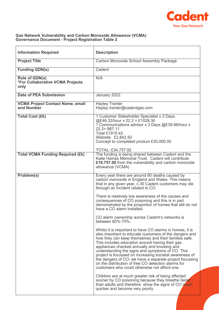

## **Gas Network Vulnerability and Carbon Monoxide Allowance (VCMA) Governance Document - Project Registration Table 2**

| <b>Information Required</b>                                | <b>Description</b>                                                                                                                                                                                                                                                                                                                                                                                                                                                                                                                                              |
|------------------------------------------------------------|-----------------------------------------------------------------------------------------------------------------------------------------------------------------------------------------------------------------------------------------------------------------------------------------------------------------------------------------------------------------------------------------------------------------------------------------------------------------------------------------------------------------------------------------------------------------|
| <b>Project Title</b>                                       | Carbon Monoxide School Assembly Package                                                                                                                                                                                                                                                                                                                                                                                                                                                                                                                         |
| <b>Funding GDN(s)</b>                                      | Cadent                                                                                                                                                                                                                                                                                                                                                                                                                                                                                                                                                          |
| Role of GDN(s)<br>*For Collaborative VCMA Projects<br>only | N/A                                                                                                                                                                                                                                                                                                                                                                                                                                                                                                                                                             |
| <b>Date of PEA Submission</b>                              | January 2022                                                                                                                                                                                                                                                                                                                                                                                                                                                                                                                                                    |
| <b>VCMA Project Contact Name, email</b><br>and Number      | <b>Hayley Tranter</b><br>Hayley.tranter@cadentgas.com                                                                                                                                                                                                                                                                                                                                                                                                                                                                                                           |
| <b>Total Cost (£k)</b>                                     | 1 Customer Stakeholder Specialist x 3 Days<br>@£46.32/hour x 22.2 = £1028.30<br>1 Communications advisor x 3 Days @£39.96/hour x<br>$22.2 = 887.11$<br><b>Total £1915.42</b><br>Website: £2,842.50<br>Concept to completed product £30,000.00<br>TOTAL: £34,757.92                                                                                                                                                                                                                                                                                              |
| <b>Total VCMA Funding Required (£k)</b>                    | The funding is being shared between Cadent and the<br>Katie Haines Memorial Trust. Cadent will contribute<br>£19,757.00 from the vulnerability and carbon monoxide<br>allowance (VCMA)                                                                                                                                                                                                                                                                                                                                                                          |
| Problem(s)                                                 | Every year there are around 60 deaths caused by<br>carbon monoxide in England and Wales. This means<br>that in any given year, c.30 Cadent customers may die<br>through an incident related to CO.                                                                                                                                                                                                                                                                                                                                                              |
|                                                            | There is relatively low awareness of the causes and<br>consequences of CO poisoning and this is in part<br>demonstrated by the proportion of homes that still do not<br>have a CO alarm installed.                                                                                                                                                                                                                                                                                                                                                              |
|                                                            | CO alarm ownership across Cadent's networks is<br>between 60%-70%.                                                                                                                                                                                                                                                                                                                                                                                                                                                                                              |
|                                                            | Whilst it is important to have CO alarms in homes, it is<br>also important to educate customers of the dangers and<br>how they can keep themselves and their families safe.<br>This includes education around having their gas<br>appliances checked annually and knowing and<br>understanding the signs and symptoms of CO. This<br>project is focussed on increasing societal awareness of<br>the dangers of CO; we have a separate project focussing<br>on the distribution of free CO detection alarms for<br>customers who could otherwise not afford one. |
|                                                            | Children are at much greater risk of being affected<br>sooner by CO poisoning because they breathe faster<br>than adults and therefore show the signs of CO much<br>quicker and become very poorly.                                                                                                                                                                                                                                                                                                                                                             |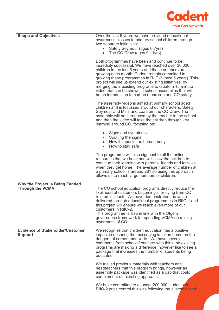

| <b>Scope and Objectives</b>                                | Over the last 5 years we have provided educational                                                               |
|------------------------------------------------------------|------------------------------------------------------------------------------------------------------------------|
|                                                            | awareness classes to primary school children through<br>two separate initiatives:                                |
|                                                            | Safety Seymour (ages 6-7yrs)                                                                                     |
|                                                            | • The CO Crew (ages 9-11yrs)                                                                                     |
|                                                            | Both programmes have been and continue to be                                                                     |
|                                                            | incredibly successful. We have reached over 30,000<br>children in the last 5 years and these numbers are         |
|                                                            | growing each month. Cadent remain committed to                                                                   |
|                                                            | growing these programmes in RIIO-2 (next 5 years). This                                                          |
|                                                            | project will see us extend our existing initiatives, by<br>merging the 2 existing programs to create a 15-minute |
|                                                            | video that can be shown in school assemblies that will                                                           |
|                                                            | be an introduction to carbon monoxide and CO safety.                                                             |
|                                                            | The assembly video is aimed at primary school aged                                                               |
|                                                            | children and is focussed around our characters, Safety<br>Seymour and Mimi and Loz from the CO Crew. The         |
|                                                            | assembly will be introduced by the teacher in the school                                                         |
|                                                            | and then the video will take the children through key                                                            |
|                                                            | learning around CO, focusing on:                                                                                 |
|                                                            | Signs and symptoms                                                                                               |
|                                                            | Spotting the signs<br>$\bullet$<br>How it impacts the human body<br>$\bullet$                                    |
|                                                            | How to stay safe<br>$\bullet$                                                                                    |
|                                                            |                                                                                                                  |
|                                                            | The programme will also signpost to all the online<br>resources that we have and will allow the children to      |
|                                                            | continue their learning with parents, friends and families                                                       |
|                                                            | when they get home. The average number of children at                                                            |
|                                                            | a primary school is around 281 so using this approach<br>allows us to reach large numbers of children.           |
|                                                            |                                                                                                                  |
| Why the Project is Being Funded<br><b>Through the VCMA</b> | The CO school education programs directly reduce the                                                             |
|                                                            | likelihood of customers becoming ill or dying from CO                                                            |
|                                                            | related incidents. We have demonstrated the value                                                                |
|                                                            | delivered through educational programmes in RIIO-1 and<br>this project will ensure we reach even more of our     |
|                                                            | customers in RIIO-2.                                                                                             |
|                                                            | This programme is also in line with the Ofgem                                                                    |
|                                                            | governance framework for spending VCMA on raising<br>awareness of CO.                                            |
|                                                            |                                                                                                                  |
| <b>Evidence of Stakeholder/Customer</b><br><b>Support</b>  | We recognise that children education has a positive<br>impact in ensuring the messaging is taken home on the     |
|                                                            | dangers of carbon monoxide. We have several                                                                      |
|                                                            | comments from schools/teachers who think the existing                                                            |
|                                                            | programs are making a difference, however like to see a<br>package that increases the number of students being   |
|                                                            | educated.                                                                                                        |
|                                                            | We trialled previous materials with teachers and                                                                 |
|                                                            | headteachers that this program brings, however an                                                                |
|                                                            | assembly package was identified as a gap that could<br>complement our existing approach.                         |
|                                                            | We have committed to educate 200,000 students in                                                                 |
|                                                            | RIIO-2 price control this was following the customer and                                                         |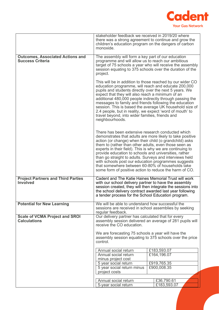

|                                                                    | stakeholder feedback we received in 2019/20 where<br>there was a strong agreement to continue and grow the<br>children's education program on the dangers of carbon<br>monoxide.                                                                                                                                                                                                                                                                                                                                                                                                         |                                                             |
|--------------------------------------------------------------------|------------------------------------------------------------------------------------------------------------------------------------------------------------------------------------------------------------------------------------------------------------------------------------------------------------------------------------------------------------------------------------------------------------------------------------------------------------------------------------------------------------------------------------------------------------------------------------------|-------------------------------------------------------------|
| <b>Outcomes, Associated Actions and</b><br><b>Success Criteria</b> | The assembly will form a key part of our education<br>programme and will allow us to reach our ambitious<br>session equating to 375 schools over the duration of the<br>project.                                                                                                                                                                                                                                                                                                                                                                                                         | target of 75 schools a year who will receive the assembly   |
|                                                                    | This will be in addition to those reached by our wider CO<br>education programme, will reach and educate 200,000<br>pupils and students directly over the next 5 years. We<br>expect that they will also reach a minimum of an<br>additional 480,000 people indirectly through passing the<br>messages to family and friends following the education<br>2.4 people, but in reality, we expect 'word of mouth' to<br>travel beyond, into wider families, friends and<br>neighbourhoods.                                                                                                   | session. This is based the average UK household size of     |
|                                                                    | There has been extensive research conducted which<br>demonstrates that adults are more likely to take positive<br>action (or change) when their child (o grandchild) asks<br>them to (rather than other adults, even those seen as<br>experts in their field). This is why we are continuing to<br>provide education to schools and universities, rather<br>than go straight to adults. Surveys and interviews held<br>with schools post our education programmes suggests<br>that somewhere between 60-80% of households take<br>some form of positive action to reduce the harm of CO. |                                                             |
| <b>Project Partners and Third Parties</b><br><b>Involved</b>       | Cadent and The Katie Haines Memorial Trust will work<br>with our school delivery partner to have the assembly<br>the school delivery contract awarded last year following<br>a tender process for the School Education program.                                                                                                                                                                                                                                                                                                                                                          | session created, they will then integrate the sessions into |
| <b>Potential for New Learning</b>                                  | We will be able to understand how successful the<br>sessions are received in school assemblies by seeking<br>regular feedback.                                                                                                                                                                                                                                                                                                                                                                                                                                                           |                                                             |
| <b>Scale of VCMA Project and SROI</b><br><b>Calculations</b>       | Our delivery partner has calculated that for every<br>receive the CO education.                                                                                                                                                                                                                                                                                                                                                                                                                                                                                                          | assembly session delivered an average of 281 pupils will    |
|                                                                    | We are forecasting 75 schools a year will have the<br>assembly session equating to 375 schools over the price<br>control.                                                                                                                                                                                                                                                                                                                                                                                                                                                                |                                                             |
|                                                                    |                                                                                                                                                                                                                                                                                                                                                                                                                                                                                                                                                                                          |                                                             |
|                                                                    | Annual social return<br>Annual social return                                                                                                                                                                                                                                                                                                                                                                                                                                                                                                                                             | £183,593.07<br>£164,196.07                                  |
|                                                                    | minus project cost                                                                                                                                                                                                                                                                                                                                                                                                                                                                                                                                                                       |                                                             |
|                                                                    | 5 year social return                                                                                                                                                                                                                                                                                                                                                                                                                                                                                                                                                                     | £919,765.35                                                 |
|                                                                    | 5 year social return minus                                                                                                                                                                                                                                                                                                                                                                                                                                                                                                                                                               | £900,008.35                                                 |
|                                                                    | project costs                                                                                                                                                                                                                                                                                                                                                                                                                                                                                                                                                                            |                                                             |
|                                                                    |                                                                                                                                                                                                                                                                                                                                                                                                                                                                                                                                                                                          |                                                             |
|                                                                    | Annual social return                                                                                                                                                                                                                                                                                                                                                                                                                                                                                                                                                                     | £36,790.61                                                  |
|                                                                    | 5-year social return                                                                                                                                                                                                                                                                                                                                                                                                                                                                                                                                                                     | £183,593.07                                                 |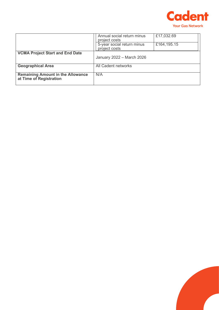

|                                                                     | Annual social return minus<br>project costs | £17,032.69  |
|---------------------------------------------------------------------|---------------------------------------------|-------------|
|                                                                     | 5-year social return minus<br>project costs | £164,195.15 |
| <b>VCMA Project Start and End Date</b>                              | January 2022 - March 2026                   |             |
| <b>Geographical Area</b>                                            | All Cadent networks                         |             |
| <b>Remaining Amount in the Allowance</b><br>at Time of Registration | N/A                                         |             |